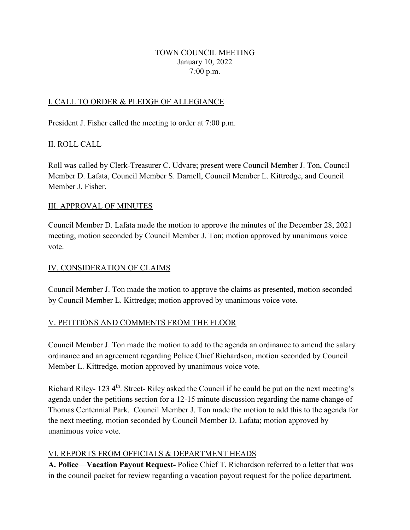#### TOWN COUNCIL MEETING January 10, 2022 7*:*00 p.m.

## I. CALL TO ORDER & PLEDGE OF ALLEGIANCE

President J. Fisher called the meeting to order at 7:00 p.m.

### II. ROLL CALL

Roll was called by Clerk-Treasurer C. Udvare; present were Council Member J. Ton, Council Member D. Lafata, Council Member S. Darnell, Council Member L. Kittredge, and Council Member J. Fisher.

#### III. APPROVAL OF MINUTES

Council Member D. Lafata made the motion to approve the minutes of the December 28, 2021 meeting, motion seconded by Council Member J. Ton; motion approved by unanimous voice vote.

#### IV. CONSIDERATION OF CLAIMS

Council Member J. Ton made the motion to approve the claims as presented, motion seconded by Council Member L. Kittredge; motion approved by unanimous voice vote.

### V. PETITIONS AND COMMENTS FROM THE FLOOR

Council Member J. Ton made the motion to add to the agenda an ordinance to amend the salary ordinance and an agreement regarding Police Chief Richardson, motion seconded by Council Member L. Kittredge, motion approved by unanimous voice vote.

Richard Riley- 123 4<sup>th</sup>. Street- Riley asked the Council if he could be put on the next meeting's agenda under the petitions section for a 12-15 minute discussion regarding the name change of Thomas Centennial Park. Council Member J. Ton made the motion to add this to the agenda for the next meeting, motion seconded by Council Member D. Lafata; motion approved by unanimous voice vote.

### VI. REPORTS FROM OFFICIALS & DEPARTMENT HEADS

**A. Police**—**Vacation Payout Request-** Police Chief T. Richardson referred to a letter that was in the council packet for review regarding a vacation payout request for the police department.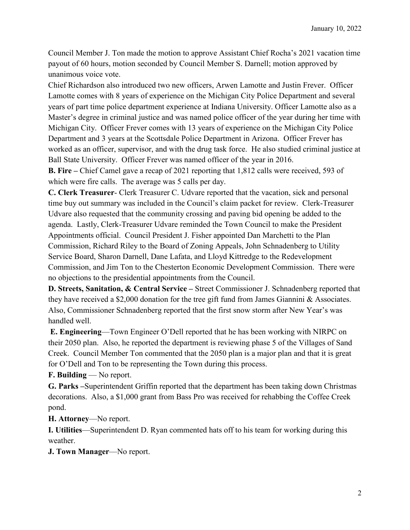Council Member J. Ton made the motion to approve Assistant Chief Rocha's 2021 vacation time payout of 60 hours, motion seconded by Council Member S. Darnell; motion approved by unanimous voice vote.

Chief Richardson also introduced two new officers, Arwen Lamotte and Justin Frever. Officer Lamotte comes with 8 years of experience on the Michigan City Police Department and several years of part time police department experience at Indiana University. Officer Lamotte also as a Master's degree in criminal justice and was named police officer of the year during her time with Michigan City. Officer Frever comes with 13 years of experience on the Michigan City Police Department and 3 years at the Scottsdale Police Department in Arizona. Officer Frever has worked as an officer, supervisor, and with the drug task force. He also studied criminal justice at Ball State University. Officer Frever was named officer of the year in 2016.

**B. Fire –** Chief Camel gave a recap of 2021 reporting that 1,812 calls were received, 593 of which were fire calls. The average was 5 calls per day.

**C. Clerk Treasurer**- Clerk Treasurer C. Udvare reported that the vacation, sick and personal time buy out summary was included in the Council's claim packet for review. Clerk-Treasurer Udvare also requested that the community crossing and paving bid opening be added to the agenda. Lastly, Clerk-Treasurer Udvare reminded the Town Council to make the President Appointments official. Council President J. Fisher appointed Dan Marchetti to the Plan Commission, Richard Riley to the Board of Zoning Appeals, John Schnadenberg to Utility Service Board, Sharon Darnell, Dane Lafata, and Lloyd Kittredge to the Redevelopment Commission, and Jim Ton to the Chesterton Economic Development Commission. There were no objections to the presidential appointments from the Council.

**D. Streets, Sanitation, & Central Service –** Street Commissioner J. Schnadenberg reported that they have received a \$2,000 donation for the tree gift fund from James Giannini & Associates. Also, Commissioner Schnadenberg reported that the first snow storm after New Year's was handled well.

**E. Engineering**—Town Engineer O'Dell reported that he has been working with NIRPC on their 2050 plan. Also, he reported the department is reviewing phase 5 of the Villages of Sand Creek. Council Member Ton commented that the 2050 plan is a major plan and that it is great for O'Dell and Ton to be representing the Town during this process.

**F. Building** — No report.

**G. Parks –**Superintendent Griffin reported that the department has been taking down Christmas decorations. Also, a \$1,000 grant from Bass Pro was received for rehabbing the Coffee Creek pond.

**H. Attorney**—No report.

**I. Utilities**—Superintendent D. Ryan commented hats off to his team for working during this weather.

**J. Town Manager**—No report.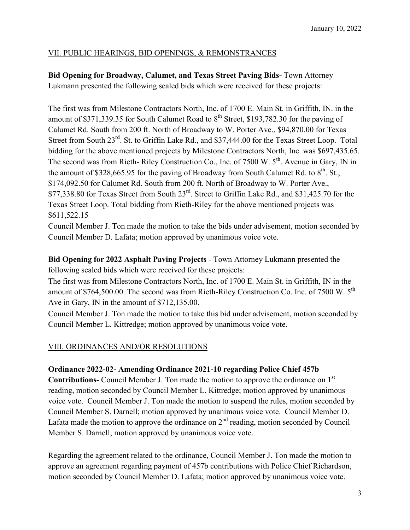## VII. PUBLIC HEARINGS, BID OPENINGS, & REMONSTRANCES

## **Bid Opening for Broadway, Calumet, and Texas Street Paving Bids-** Town Attorney Lukmann presented the following sealed bids which were received for these projects:

The first was from Milestone Contractors North, Inc. of 1700 E. Main St. in Griffith, IN. in the amount of \$371,339.35 for South Calumet Road to  $8<sup>th</sup>$  Street, \$193,782.30 for the paving of Calumet Rd. South from 200 ft. North of Broadway to W. Porter Ave., \$94,870.00 for Texas Street from South 23rd. St. to Griffin Lake Rd., and \$37,444.00 for the Texas Street Loop. Total bidding for the above mentioned projects by Milestone Contractors North, Inc. was \$697,435.65. The second was from Rieth- Riley Construction Co., Inc. of  $7500 \text{ W}$ .  $5^{\text{th}}$ . Avenue in Gary, IN in the amount of \$328,665.95 for the paving of Broadway from South Calumet Rd. to  $8<sup>th</sup>$ . St., \$174,092.50 for Calumet Rd. South from 200 ft. North of Broadway to W. Porter Ave., \$77,338.80 for Texas Street from South 23rd. Street to Griffin Lake Rd., and \$31,425.70 for the Texas Street Loop. Total bidding from Rieth-Riley for the above mentioned projects was \$611,522.15

Council Member J. Ton made the motion to take the bids under advisement, motion seconded by Council Member D. Lafata; motion approved by unanimous voice vote.

**Bid Opening for 2022 Asphalt Paving Projects** - Town Attorney Lukmann presented the following sealed bids which were received for these projects:

The first was from Milestone Contractors North, Inc. of 1700 E. Main St. in Griffith, IN in the amount of \$764,500.00. The second was from Rieth-Riley Construction Co. Inc. of 7500 W.  $5<sup>th</sup>$ Ave in Gary, IN in the amount of \$712,135.00.

Council Member J. Ton made the motion to take this bid under advisement, motion seconded by Council Member L. Kittredge; motion approved by unanimous voice vote.

### VIII. ORDINANCES AND/OR RESOLUTIONS

### **Ordinance 2022-02- Amending Ordinance 2021-10 regarding Police Chief 457b**

**Contributions-** Council Member J. Ton made the motion to approve the ordinance on 1st reading, motion seconded by Council Member L. Kittredge; motion approved by unanimous voice vote. Council Member J. Ton made the motion to suspend the rules, motion seconded by Council Member S. Darnell; motion approved by unanimous voice vote. Council Member D. Lafata made the motion to approve the ordinance on  $2<sup>nd</sup>$  reading, motion seconded by Council Member S. Darnell; motion approved by unanimous voice vote.

Regarding the agreement related to the ordinance, Council Member J. Ton made the motion to approve an agreement regarding payment of 457b contributions with Police Chief Richardson, motion seconded by Council Member D. Lafata; motion approved by unanimous voice vote.